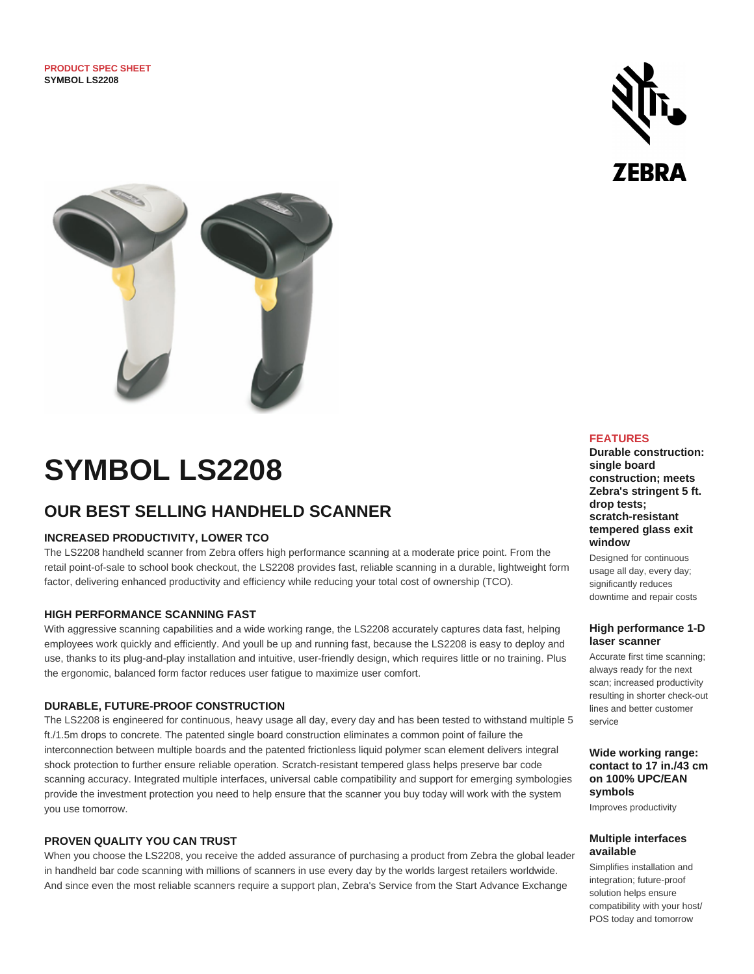



# **SYMBOL LS2208**

# **OUR BEST SELLING HANDHELD SCANNER**

# **INCREASED PRODUCTIVITY, LOWER TCO**

The LS2208 handheld scanner from Zebra offers high performance scanning at a moderate price point. From the retail point-of-sale to school book checkout, the LS2208 provides fast, reliable scanning in a durable, lightweight form factor, delivering enhanced productivity and efficiency while reducing your total cost of ownership (TCO).

## **HIGH PERFORMANCE SCANNING FAST**

With aggressive scanning capabilities and a wide working range, the LS2208 accurately captures data fast, helping employees work quickly and efficiently. And youll be up and running fast, because the LS2208 is easy to deploy and use, thanks to its plug-and-play installation and intuitive, user-friendly design, which requires little or no training. Plus the ergonomic, balanced form factor reduces user fatigue to maximize user comfort.

## **DURABLE, FUTURE-PROOF CONSTRUCTION**

The LS2208 is engineered for continuous, heavy usage all day, every day and has been tested to withstand multiple 5 ft./1.5m drops to concrete. The patented single board construction eliminates a common point of failure the interconnection between multiple boards and the patented frictionless liquid polymer scan element delivers integral shock protection to further ensure reliable operation. Scratch-resistant tempered glass helps preserve bar code scanning accuracy. Integrated multiple interfaces, universal cable compatibility and support for emerging symbologies provide the investment protection you need to help ensure that the scanner you buy today will work with the system you use tomorrow.

## **PROVEN QUALITY YOU CAN TRUST**

When you choose the LS2208, you receive the added assurance of purchasing a product from Zebra the global leader in handheld bar code scanning with millions of scanners in use every day by the worlds largest retailers worldwide. And since even the most reliable scanners require a support plan, Zebra's Service from the Start Advance Exchange

# **FEATURES**

**Durable construction: single board construction; meets Zebra's stringent 5 ft. drop tests; scratch-resistant tempered glass exit window**

Designed for continuous usage all day, every day; significantly reduces downtime and repair costs

#### **High performance 1-D laser scanner**

Accurate first time scanning; always ready for the next scan; increased productivity resulting in shorter check-out lines and better customer service

#### **Wide working range: contact to 17 in./43 cm on 100% UPC/EAN symbols**

Improves productivity

## **Multiple interfaces available**

Simplifies installation and integration; future-proof solution helps ensure compatibility with your host/ POS today and tomorrow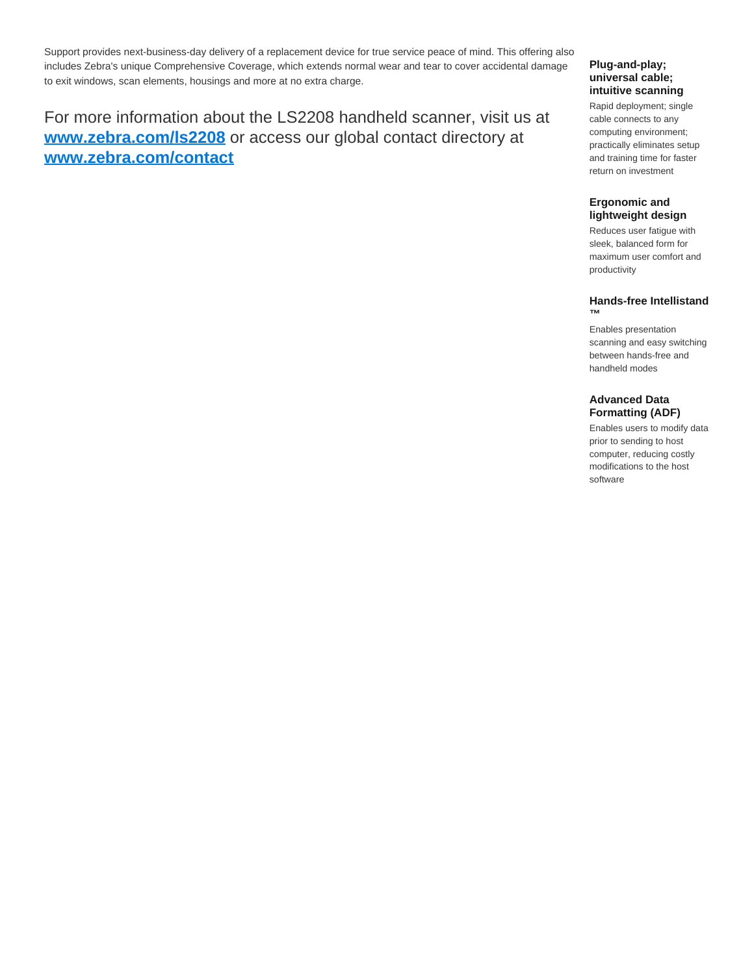Support provides next-business-day delivery of a replacement device for true service peace of mind. This offering also includes Zebra's unique Comprehensive Coverage, which extends normal wear and tear to cover accidental damage to exit windows, scan elements, housings and more at no extra charge.

# For more information about the LS2208 handheld scanner, visit us at **[www.zebra.com/ls2208](http://www.zebra.com/ls2208)** or access our global contact directory at **[www.zebra.com/contact](http://www.zebra.com/contact)**

#### **Plug-and-play; universal cable; intuitive scanning**

Rapid deployment; single cable connects to any computing environment; practically eliminates setup and training time for faster return on investment

# **Ergonomic and lightweight design**

Reduces user fatigue with sleek, balanced form for maximum user comfort and productivity

#### **Hands-free Intellistand ™**

Enables presentation scanning and easy switching between hands-free and handheld modes

# **Advanced Data Formatting (ADF)**

Enables users to modify data prior to sending to host computer, reducing costly modifications to the host software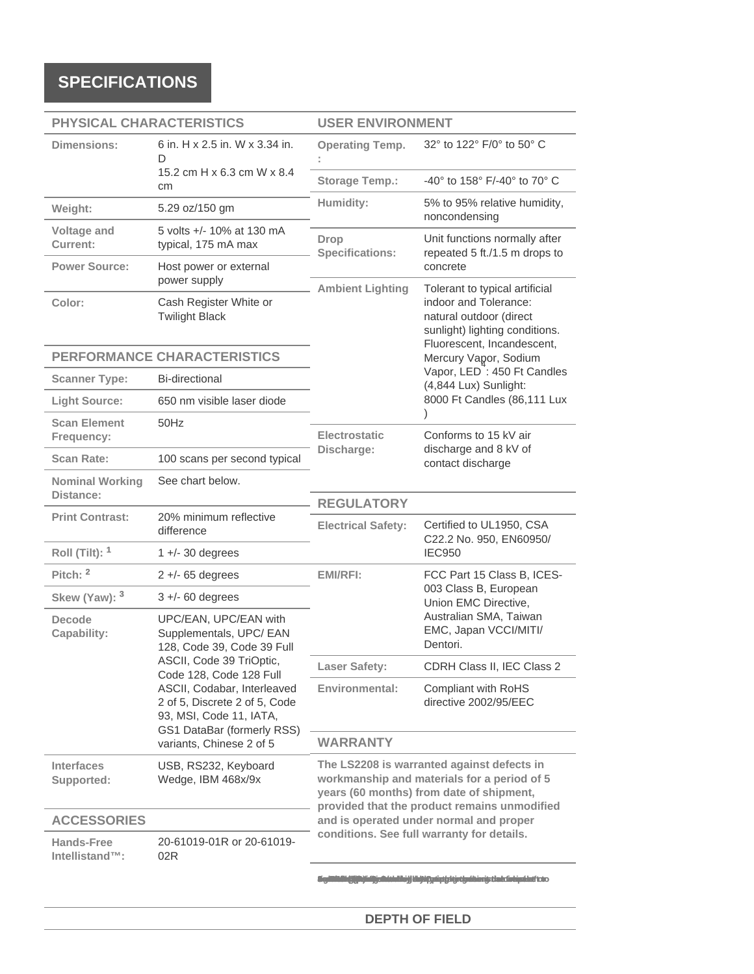# **SPECIFICATIONS**

| PHYSICAL CHARACTERISTICS            |                                                                                                                                                                                                          | <b>USER ENVIRONMENT</b>                                                                                                                                                                   |                                                                                                                                            |
|-------------------------------------|----------------------------------------------------------------------------------------------------------------------------------------------------------------------------------------------------------|-------------------------------------------------------------------------------------------------------------------------------------------------------------------------------------------|--------------------------------------------------------------------------------------------------------------------------------------------|
| <b>Dimensions:</b>                  | 6 in. H x 2.5 in. W x 3.34 in.<br>D                                                                                                                                                                      | <b>Operating Temp.</b>                                                                                                                                                                    | 32° to 122° F/0° to 50° C                                                                                                                  |
|                                     | 15.2 cm H x 6.3 cm W x 8.4<br>cm                                                                                                                                                                         | <b>Storage Temp.:</b>                                                                                                                                                                     | -40° to 158° F/-40° to 70° C                                                                                                               |
| Weight:                             | 5.29 oz/150 gm                                                                                                                                                                                           | Humidity:                                                                                                                                                                                 | 5% to 95% relative humidity,<br>noncondensing                                                                                              |
| Voltage and<br><b>Current:</b>      | 5 volts +/- 10% at 130 mA<br>typical, 175 mA max                                                                                                                                                         | Unit functions normally after<br><b>Drop</b><br><b>Specifications:</b><br>repeated 5 ft./1.5 m drops to                                                                                   |                                                                                                                                            |
| <b>Power Source:</b>                | Host power or external<br>power supply                                                                                                                                                                   | concrete<br><b>Ambient Lighting</b><br>Tolerant to typical artificial<br>indoor and Tolerance:<br>natural outdoor (direct<br>sunlight) lighting conditions.<br>Fluorescent, Incandescent, |                                                                                                                                            |
| Color:                              | Cash Register White or<br><b>Twilight Black</b>                                                                                                                                                          |                                                                                                                                                                                           |                                                                                                                                            |
| <b>PERFORMANCE CHARACTERISTICS</b>  |                                                                                                                                                                                                          |                                                                                                                                                                                           | Mercury Vapor, Sodium                                                                                                                      |
| <b>Scanner Type:</b>                | <b>Bi-directional</b>                                                                                                                                                                                    | Vapor, LED <sup>7</sup> : 450 Ft Candles<br>(4,844 Lux) Sunlight:<br>8000 Ft Candles (86,111 Lux                                                                                          |                                                                                                                                            |
| <b>Light Source:</b>                | 650 nm visible laser diode                                                                                                                                                                               |                                                                                                                                                                                           |                                                                                                                                            |
| <b>Scan Element</b><br>Frequency:   | 50Hz                                                                                                                                                                                                     | Electrostatic<br>Discharge:                                                                                                                                                               | Conforms to 15 kV air<br>discharge and 8 kV of<br>contact discharge                                                                        |
| <b>Scan Rate:</b>                   | 100 scans per second typical                                                                                                                                                                             |                                                                                                                                                                                           |                                                                                                                                            |
| <b>Nominal Working</b><br>Distance: | See chart below.                                                                                                                                                                                         | <b>REGULATORY</b>                                                                                                                                                                         |                                                                                                                                            |
| <b>Print Contrast:</b>              | 20% minimum reflective<br>difference                                                                                                                                                                     | Certified to UL1950, CSA<br><b>Electrical Safety:</b><br>C22.2 No. 950, EN60950/                                                                                                          |                                                                                                                                            |
| Roll (Tilt): $1$                    | $1 +$ /- 30 degrees                                                                                                                                                                                      |                                                                                                                                                                                           | <b>IEC950</b>                                                                                                                              |
| Pitch: <sup>2</sup>                 | $2 +$ -65 degrees                                                                                                                                                                                        | <b>EMI/RFI:</b>                                                                                                                                                                           | FCC Part 15 Class B, ICES-<br>003 Class B, European<br>Union EMC Directive,<br>Australian SMA, Taiwan<br>EMC, Japan VCCI/MITI/<br>Dentori. |
| Skew (Yaw): 3                       | $3 +$ -60 degrees                                                                                                                                                                                        |                                                                                                                                                                                           |                                                                                                                                            |
| <b>Decode</b><br>Capability:        | UPC/EAN, UPC/EAN with<br>Supplementals, UPC/ EAN<br>128, Code 39, Code 39 Full                                                                                                                           |                                                                                                                                                                                           |                                                                                                                                            |
|                                     | ASCII, Code 39 TriOptic,<br>Code 128, Code 128 Full<br>ASCII, Codabar, Interleaved<br>2 of 5, Discrete 2 of 5, Code<br>93, MSI, Code 11, IATA,<br>GS1 DataBar (formerly RSS)<br>variants, Chinese 2 of 5 | <b>Laser Safety:</b>                                                                                                                                                                      | CDRH Class II, IEC Class 2                                                                                                                 |
|                                     |                                                                                                                                                                                                          | Environmental:                                                                                                                                                                            | Compliant with RoHS<br>directive 2002/95/EEC                                                                                               |
|                                     |                                                                                                                                                                                                          | <b>WARRANTY</b>                                                                                                                                                                           |                                                                                                                                            |
| <b>Interfaces</b><br>Supported:     | USB, RS232, Keyboard<br>Wedge, IBM 468x/9x                                                                                                                                                               | The LS2208 is warranted against defects in<br>workmanship and materials for a period of 5<br>years (60 months) from date of shipment,<br>provided that the product remains unmodified     |                                                                                                                                            |
| <b>ACCESSORIES</b>                  |                                                                                                                                                                                                          | and is operated under normal and proper                                                                                                                                                   |                                                                                                                                            |
| <b>Hands-Free</b><br>Intellistand™: | 20-61019-01R or 20-61019-<br>02R                                                                                                                                                                         | conditions. See full warranty for details.                                                                                                                                                |                                                                                                                                            |
|                                     |                                                                                                                                                                                                          |                                                                                                                                                                                           |                                                                                                                                            |